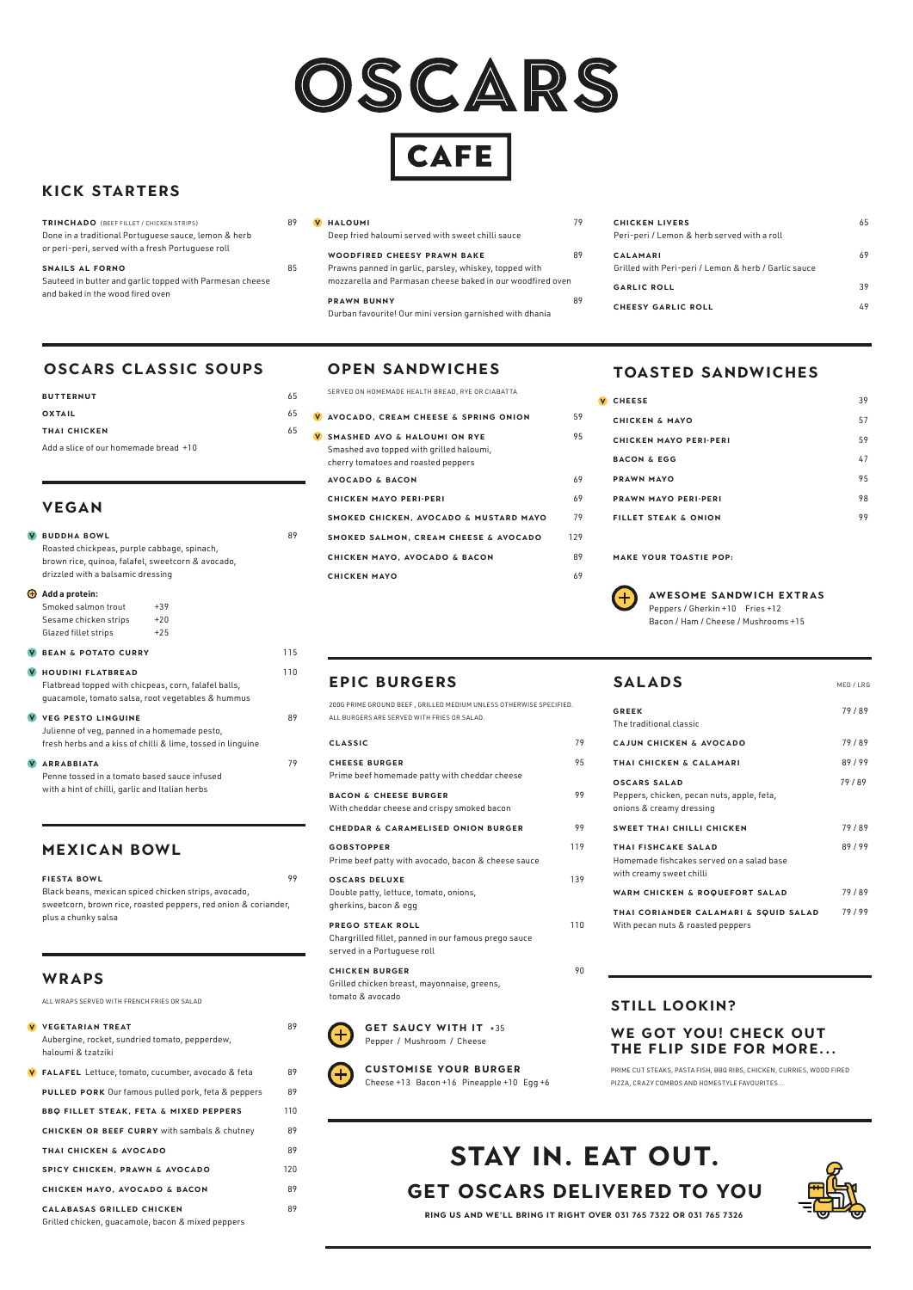

**CAFE** 

| <b>GREEK</b><br>The traditional classic                                                      | 79/89 |
|----------------------------------------------------------------------------------------------|-------|
| CAJUN CHICKEN & AVOCADO                                                                      | 79/89 |
| THAI CHICKEN & CALAMARI                                                                      | 89/99 |
| OSCARS SALAD<br>Peppers, chicken, pecan nuts, apple, feta,<br>onions & creamy dressing       | 79/89 |
| <b>SWEET THAI CHILLI CHICKEN</b>                                                             | 79/89 |
| THAI FISHCAKE SALAD<br>Homemade fishcakes served on a salad base<br>with creamy sweet chilli | 89/99 |
| WARM CHICKEN & ROQUEFORT SALAD                                                               | 79/89 |
| THAI CORIANDER CALAMARI & SQUID SALAD<br>With pecan nuts & roasted peppers                   | 79/99 |

## **EPIC BURGERS**

**GET SAUCY WITH IT +35** Pepper / Mushroom / Cheese



| 200G PRIME GROUND BEEF, GRILLED MEDIUM UNLESS OTHERWISE SPECIFIED. |                                                                                                         |     |
|--------------------------------------------------------------------|---------------------------------------------------------------------------------------------------------|-----|
|                                                                    | ALL BURGERS ARE SERVED WITH FRIES OR SALAD.                                                             |     |
|                                                                    | <b>CLASSIC</b>                                                                                          | 79  |
|                                                                    | <b>CHEESE BURGER</b><br>Prime beef homemade patty with cheddar cheese                                   | 95  |
|                                                                    | <b>BACON &amp; CHEESE BURGER</b><br>With cheddar cheese and crispy smoked bacon                         | 99  |
|                                                                    | <b>CHEDDAR &amp; CARAMELISED ONION BURGER</b>                                                           | 99  |
|                                                                    | <b>GOBSTOPPER</b><br>Prime beef patty with avocado, bacon & cheese sauce                                | 119 |
|                                                                    | <b>OSCARS DELUXE</b><br>Double patty, lettuce, tomato, onions,<br>gherkins, bacon & egg                 | 139 |
|                                                                    | PREGO STEAK ROLL<br>Chargrilled fillet, panned in our famous prego sauce<br>served in a Portuguese roll | 110 |
|                                                                    | <b>CHICKEN BURGER</b>                                                                                   | 90  |

# SALADS
MED/LRG

Grilled chicken breast, mayonnaise, greens, tomato & avocado



#### **CUSTOMISE YOUR BURGER** Cheese +13 Bacon +16 Pineapple +10 Egg +6

# **VEGAN**

| V) | <b>BUDDHA BOWL</b><br>Roasted chickpeas, purple cabbage, spinach,<br>brown rice, quinoa, falafel, sweetcorn & avocado,<br>drizzled with a balsamic dressing |                         | 89  |
|----|-------------------------------------------------------------------------------------------------------------------------------------------------------------|-------------------------|-----|
| Ð  | Add a protein:<br>Smoked salmon trout<br>Sesame chicken strips<br>Glazed fillet strips                                                                      | $+39$<br>$+20$<br>$+25$ |     |
| V) | <b>BEAN &amp; POTATO CURRY</b>                                                                                                                              |                         | 115 |
| V. | <b>HOUDINI FLATBREAD</b><br>Flatbread topped with chicpeas, corn, falafel balls,<br>quacamole, tomato salsa, root vegetables & hummus                       |                         | 110 |
|    | V VEG PESTO LINGUINE<br>Julienne of veg, panned in a homemade pesto,<br>fresh herbs and a kiss of chilli & lime, tossed in linguine                         |                         | 89  |
| V) | <b>ARRABBIATA</b><br>Penne tossed in a tomato based sauce infused<br>with a hint of chilli, garlic and Italian herbs                                        |                         | 79  |

Peppers / Gherkin +10 Fries +12 Bacon / Ham / Cheese / Mushrooms +15

# **MEXICAN BOWL**

| <b>FIESTA BOWL</b>                                             | 99 |
|----------------------------------------------------------------|----|
| Black beans, mexican spiced chicken strips, avocado,           |    |
| sweetcorn, brown rice, roasted peppers, red onion & coriander, |    |
| plus a chunky salsa                                            |    |

# **KICK STARTERS**

# **OSCARS CLASSIC SOUPS**

| <b>BUTTERNUT</b>                      | 65 | SERVED  |
|---------------------------------------|----|---------|
| <b>OXTAIL</b>                         | 65 | V AVOCA |
| THAI CHICKEN                          | 65 | V SMASI |
| Add a slice of our homemade bread +10 |    | Smash   |

| <b>TRINCHADO</b> (BEEF FILLET / CHICKEN STRIPS)          | 89 |
|----------------------------------------------------------|----|
| Done in a traditional Portuguese sauce, lemon & herb     |    |
| or peri-peri, served with a fresh Portuguese roll        |    |
| SNAILS AL FORNO                                          | 85 |
|                                                          |    |
| Sauteed in butter and garlic topped with Parmesan cheese |    |

| <b>V HALOUMI</b>                                  |    |
|---------------------------------------------------|----|
| Deep fried haloumi served with sweet chilli sauce |    |
| <b>WOODFIRED CHEESY PRAWN BAKE</b>                | 89 |

#### Prawns panned in garlic, parsley, whiskey, topped with mozzarella and Parmasan cheese baked in our woodfired oven

**PRAWN BUNNY** 89 Durban favourite! Our mini version garnished with dhania

| <b>CHICKEN LIVERS</b><br>Peri-peri / Lemon & herb served with a roll    | 65 |
|-------------------------------------------------------------------------|----|
| <b>CALAMARI</b><br>Grilled with Peri-peri / Lemon & herb / Garlic sauce | 69 |
| <b>GARLIC ROLL</b>                                                      | 39 |
| <b>CHEESY GARLIC ROLL</b>                                               | 49 |
|                                                                         |    |

# **TOASTED SANDWICHES**

| <b>CHEESE</b>                   | 39 |
|---------------------------------|----|
| <b>CHICKEN &amp; MAYO</b>       | 57 |
| <b>CHICKEN MAYO PERI-PERI</b>   | 59 |
| <b>BACON &amp; EGG</b>          | 47 |
| <b>PRAWN MAYO</b>               | 95 |
| <b>PRAWN MAYO PERI-PERI</b>     | 98 |
| <b>FILLET STEAK &amp; ONION</b> | 99 |
|                                 |    |

**MAKE YOUR TOASTIE POP:**



#### **AWESOME SANDWICH EXTRAS**

#### **WRAPS**

ALL WRAPS SERVED WITH FRENCH FRIES OR SALAD

**V** VEGETARIAN TREAT 89

Aubergine, rocket, sundried tomato, pepperdew, haloumi & tzatziki

**FALAFEL** Lettuce, tomato, cucumber, avocado & feta 89 **PULLED PORK** Our famous pulled pork, feta & peppers 89 **BBQ FILLET STEAK, FETA & MIXED PEPPERS** 110 **CHICKEN OR BEEF CURRY** with sambals & chutney 89 **THAI CHICKEN & AVOCADO** 89 **SPICY CHICKEN, PRAWN & AVOCADO** 120 **CHICKEN MAYO, AVOCADO & BACON** 89 **Calabasas GRILLED CHICKEN** 89 Grilled chicken, guacamole, bacon & mixed peppers

#### **WE GOT YOU! CHECK OUT THE FLIP SIDE FOR MORE...**

PRIME CUT STEAKS, PASTA FISH, BBQ RIBS, CHICKEN, CURRIES, WOOD FIRED PIZZA, CRAZY COMBOS AND HOMESTYLE FAVOURITES...

## **OPEN SANDWICHES**

| SERVED ON HOMEMADE HEALTH BREAD, RYE OR CIABATTA                                                                           |     |
|----------------------------------------------------------------------------------------------------------------------------|-----|
| V AVOCADO, CREAM CHEESE & SPRING ONION                                                                                     | 59  |
| <b>SMASHED AVO &amp; HALOUMI ON RYE</b><br>Smashed avo topped with grilled haloumi,<br>cherry tomatoes and roasted peppers | 95  |
| <b>AVOCADO &amp; BACON</b>                                                                                                 | 69  |
| <b>CHICKEN MAYO PERI-PERI</b>                                                                                              | 69  |
| SMOKED CHICKEN, AVOCADO & MUSTARD MAYO                                                                                     | 79  |
| <b>SMOKED SALMON, CREAM CHEESE &amp; AVOCADO</b>                                                                           | 129 |
| <b>CHICKEN MAYO, AVOCADO &amp; BACON</b>                                                                                   | 89  |
| <b>CHICKEN MAYO</b>                                                                                                        | 69  |
|                                                                                                                            |     |

#### **STILL LOOKIN?**

**RING US AND WE'LL BRING IT RIGHT OVER 031 765 7322 or 031 765 7326** 

# **GET OSCARS DELIVERED to YOU STAY IN. EAT OUT.**